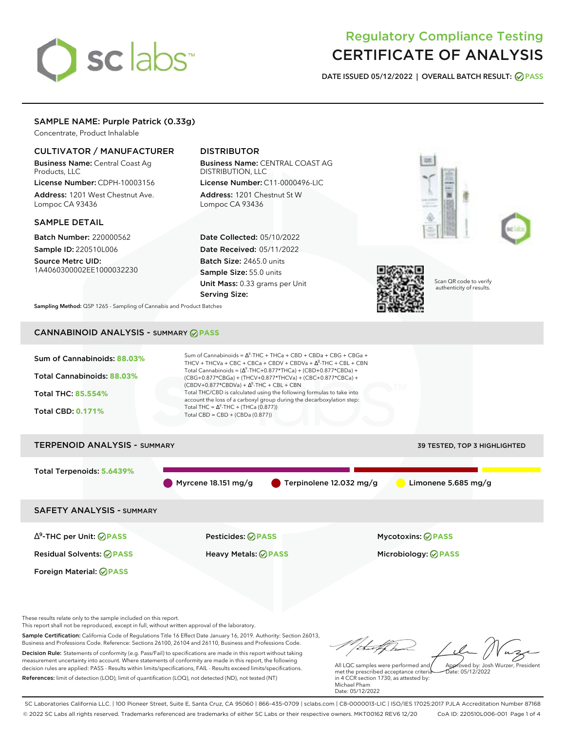# sclabs<sup>\*</sup>

# Regulatory Compliance Testing CERTIFICATE OF ANALYSIS

**DATE ISSUED 05/12/2022 | OVERALL BATCH RESULT: PASS**

## SAMPLE NAME: Purple Patrick (0.33g)

Concentrate, Product Inhalable

#### CULTIVATOR / MANUFACTURER

Business Name: Central Coast Ag Products, LLC

License Number: CDPH-10003156 Address: 1201 West Chestnut Ave. Lompoc CA 93436

#### SAMPLE DETAIL

Batch Number: 220000562 Sample ID: 220510L006

Source Metrc UID: 1A4060300002EE1000032230

## DISTRIBUTOR

Business Name: CENTRAL COAST AG DISTRIBUTION, LLC License Number: C11-0000496-LIC

Address: 1201 Chestnut St W Lompoc CA 93436

Date Collected: 05/10/2022 Date Received: 05/11/2022 Batch Size: 2465.0 units Sample Size: 55.0 units Unit Mass: 0.33 grams per Unit Serving Size:







Scan QR code to verify authenticity of results.

**Sampling Method:** QSP 1265 - Sampling of Cannabis and Product Batches

# CANNABINOID ANALYSIS - SUMMARY **PASS**



# TERPENOID ANALYSIS - SUMMARY 39 TESTED, TOP 3 HIGHLIGHTED Total Terpenoids: **5.6439%** Myrcene 18.151 mg/g **C** Terpinolene 12.032 mg/g Limonene 5.685 mg/g SAFETY ANALYSIS - SUMMARY

∆ 9 -THC per Unit: **PASS** Pesticides: **PASS** Mycotoxins: **PASS**

Foreign Material: **PASS**

Residual Solvents: **PASS** Heavy Metals: **PASS** Microbiology: **PASS**

These results relate only to the sample included on this report.

This report shall not be reproduced, except in full, without written approval of the laboratory.

Sample Certification: California Code of Regulations Title 16 Effect Date January 16, 2019. Authority: Section 26013, Business and Professions Code. Reference: Sections 26100, 26104 and 26110, Business and Professions Code. Decision Rule: Statements of conformity (e.g. Pass/Fail) to specifications are made in this report without taking measurement uncertainty into account. Where statements of conformity are made in this report, the following decision rules are applied: PASS - Results within limits/specifications, FAIL - Results exceed limits/specifications.

References: limit of detection (LOD), limit of quantification (LOQ), not detected (ND), not tested (NT)

Approved by: Josh Wurzer, President

 $hat: 05/12/2022$ 

All LQC samples were performed and met the prescribed acceptance criteria in 4 CCR section 1730, as attested by: Michael Pham Date: 05/12/2022

SC Laboratories California LLC. | 100 Pioneer Street, Suite E, Santa Cruz, CA 95060 | 866-435-0709 | sclabs.com | C8-0000013-LIC | ISO/IES 17025:2017 PJLA Accreditation Number 87168 © 2022 SC Labs all rights reserved. Trademarks referenced are trademarks of either SC Labs or their respective owners. MKT00162 REV6 12/20 CoA ID: 220510L006-001 Page 1 of 4